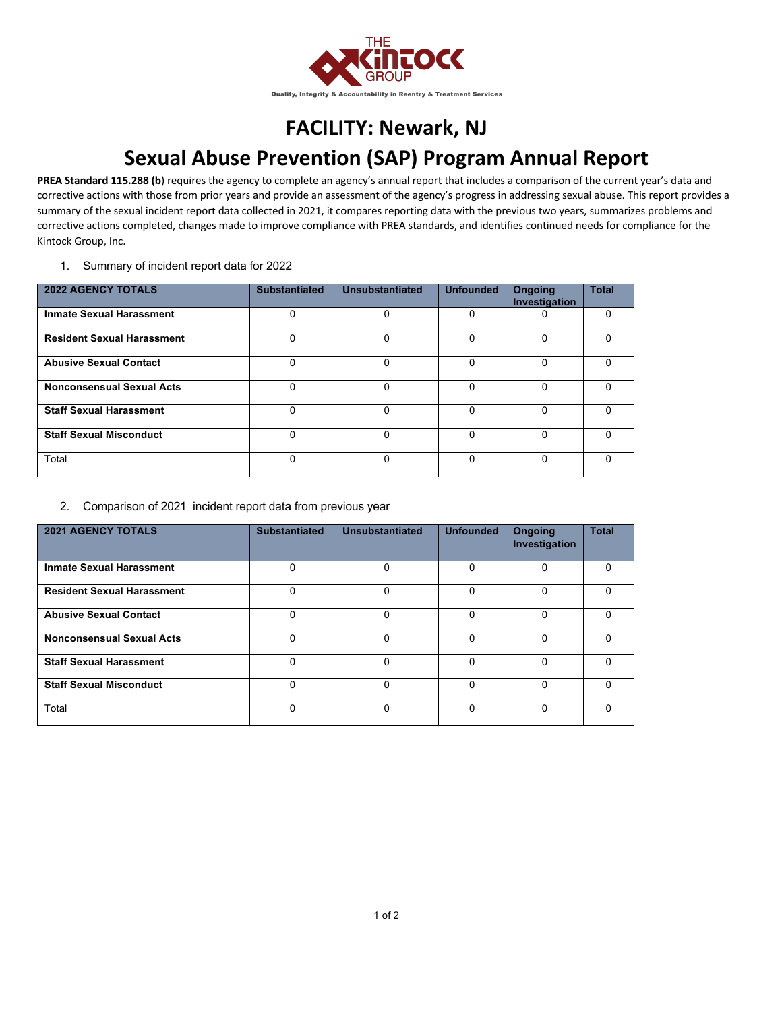

## **FACILITY: Newark, NJ Sexual Abuse Prevention (SAP) Program Annual Report**

PREA Standard 115.288 (b) requires the agency to complete an agency's annual report that includes a comparison of the current year's data and corrective actions with those from prior years and provide an assessment of the agency's progress in addressing sexual abuse. This report provides a summary of the sexual incident report data collected in 2021, it compares reporting data with the previous two years, summarizes problems and corrective actions completed, changes made to improve compliance with PREA standards, and identifies continued needs for compliance for the Kintock Group, Inc.

1. Summary of incident report data for 2022

| <b>2022 AGENCY TOTALS</b>         | <b>Substantiated</b> | Unsubstantiated | <b>Unfounded</b> | <b>Ongoing</b><br>Investigation | <b>Total</b> |
|-----------------------------------|----------------------|-----------------|------------------|---------------------------------|--------------|
| <b>Inmate Sexual Harassment</b>   | 0                    | 0               | 0                | 0                               | 0            |
| <b>Resident Sexual Harassment</b> | 0                    | 0               | $\Omega$         | $\mathbf{0}$                    | 0            |
| <b>Abusive Sexual Contact</b>     | 0                    | $\Omega$        | $\Omega$         | 0                               | $\Omega$     |
| <b>Nonconsensual Sexual Acts</b>  | 0                    | 0               | $\Omega$         | $\Omega$                        | 0            |
| <b>Staff Sexual Harassment</b>    | $\Omega$             | $\Omega$        | $\Omega$         | $\Omega$                        | U            |
| <b>Staff Sexual Misconduct</b>    | 0                    | 0               | $\Omega$         | $\Omega$                        | 0            |
| Total                             | 0                    |                 | 0                | 0                               |              |

## 2. Comparison of 2021 incident report data from previous year

| <b>2021 AGENCY TOTALS</b>         | <b>Substantiated</b> | Unsubstantiated | <b>Unfounded</b> | <b>Ongoing</b><br>Investigation | <b>Total</b> |
|-----------------------------------|----------------------|-----------------|------------------|---------------------------------|--------------|
| <b>Inmate Sexual Harassment</b>   | 0                    | 0               | 0                | $\Omega$                        | 0            |
| <b>Resident Sexual Harassment</b> | 0                    | $\mathbf{0}$    | $\Omega$         | $\Omega$                        | $\Omega$     |
| <b>Abusive Sexual Contact</b>     | 0                    | $\Omega$        | $\Omega$         | $\Omega$                        | $\Omega$     |
| <b>Nonconsensual Sexual Acts</b>  | 0                    | 0               | $\Omega$         | 0                               | 0            |
| <b>Staff Sexual Harassment</b>    | 0                    | 0               | $\Omega$         | $\Omega$                        | $\Omega$     |
| <b>Staff Sexual Misconduct</b>    | 0                    | $\Omega$        | 0                | $\Omega$                        | U            |
| Total                             | 0                    | $\Omega$        | $\Omega$         | $\Omega$                        | 0            |